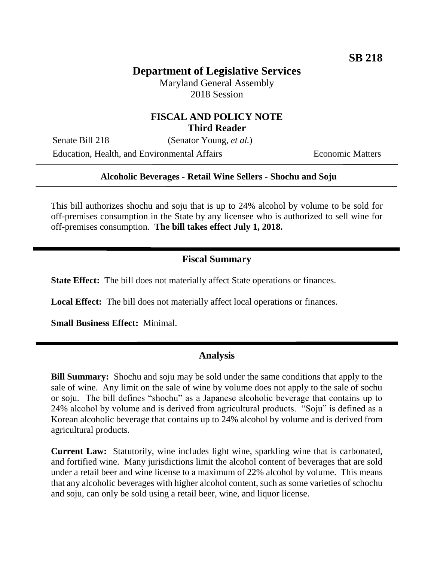# **Department of Legislative Services**

Maryland General Assembly 2018 Session

## **FISCAL AND POLICY NOTE Third Reader**

Senate Bill 218 (Senator Young, *et al.*) Education, Health, and Environmental Affairs Economic Matters

#### **Alcoholic Beverages - Retail Wine Sellers - Shochu and Soju**

This bill authorizes shochu and soju that is up to 24% alcohol by volume to be sold for off-premises consumption in the State by any licensee who is authorized to sell wine for off-premises consumption. **The bill takes effect July 1, 2018.** 

## **Fiscal Summary**

**State Effect:** The bill does not materially affect State operations or finances.

**Local Effect:** The bill does not materially affect local operations or finances.

**Small Business Effect:** Minimal.

#### **Analysis**

**Bill Summary:** Shochu and soju may be sold under the same conditions that apply to the sale of wine. Any limit on the sale of wine by volume does not apply to the sale of sochu or soju. The bill defines "shochu" as a Japanese alcoholic beverage that contains up to 24% alcohol by volume and is derived from agricultural products. "Soju" is defined as a Korean alcoholic beverage that contains up to 24% alcohol by volume and is derived from agricultural products.

**Current Law:** Statutorily, wine includes light wine, sparkling wine that is carbonated, and fortified wine. Many jurisdictions limit the alcohol content of beverages that are sold under a retail beer and wine license to a maximum of 22% alcohol by volume. This means that any alcoholic beverages with higher alcohol content, such as some varieties of schochu and soju, can only be sold using a retail beer, wine, and liquor license.